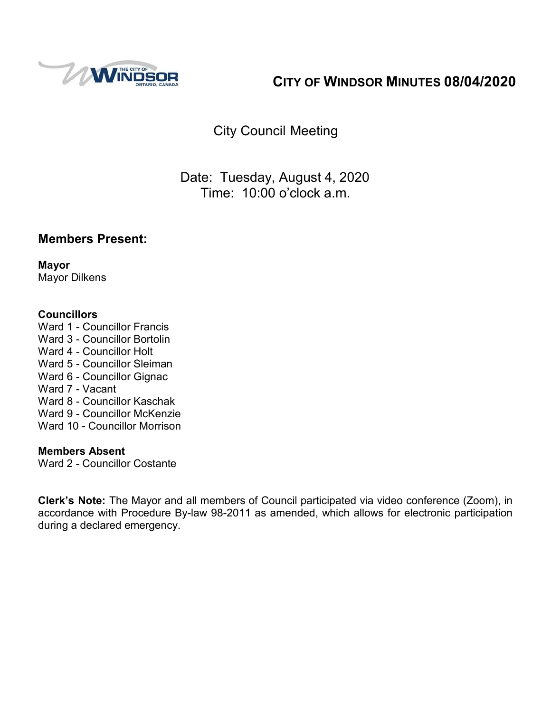

# **CITY OF WINDSOR MINUTES 08/04/2020**

City Council Meeting

Date: Tuesday, August 4, 2020 Time: 10:00 o'clock a.m.

## **Members Present:**

**Mayor** Mayor Dilkens

#### **Councillors**

Ward 1 - Councillor Francis Ward 3 - Councillor Bortolin Ward 4 - Councillor Holt Ward 5 - Councillor Sleiman Ward 6 - Councillor Gignac Ward 7 - Vacant Ward 8 - Councillor Kaschak Ward 9 - Councillor McKenzie Ward 10 - Councillor Morrison

#### **Members Absent**

Ward 2 - Councillor Costante

**Clerk's Note:** The Mayor and all members of Council participated via video conference (Zoom), in accordance with Procedure By-law 98-2011 as amended, which allows for electronic participation during a declared emergency.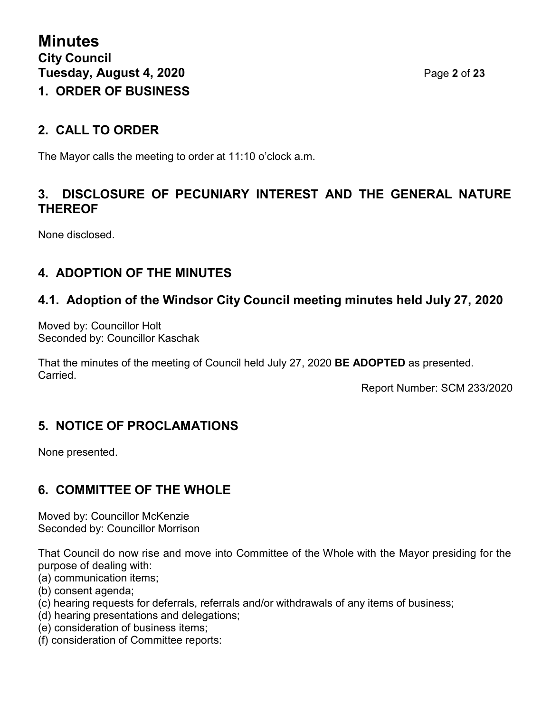## **2. CALL TO ORDER**

The Mayor calls the meeting to order at 11:10 o'clock a.m.

## **3. DISCLOSURE OF PECUNIARY INTEREST AND THE GENERAL NATURE THEREOF**

None disclosed.

# **4. ADOPTION OF THE MINUTES**

# **4.1. Adoption of the Windsor City Council meeting minutes held July 27, 2020**

Moved by: Councillor Holt Seconded by: Councillor Kaschak

That the minutes of the meeting of Council held July 27, 2020 **BE ADOPTED** as presented. **Carried** 

Report Number: SCM 233/2020

# **5. NOTICE OF PROCLAMATIONS**

None presented.

# **6. COMMITTEE OF THE WHOLE**

Moved by: Councillor McKenzie Seconded by: Councillor Morrison

That Council do now rise and move into Committee of the Whole with the Mayor presiding for the purpose of dealing with:

- (a) communication items;
- (b) consent agenda;
- (c) hearing requests for deferrals, referrals and/or withdrawals of any items of business;
- (d) hearing presentations and delegations;
- (e) consideration of business items;
- (f) consideration of Committee reports: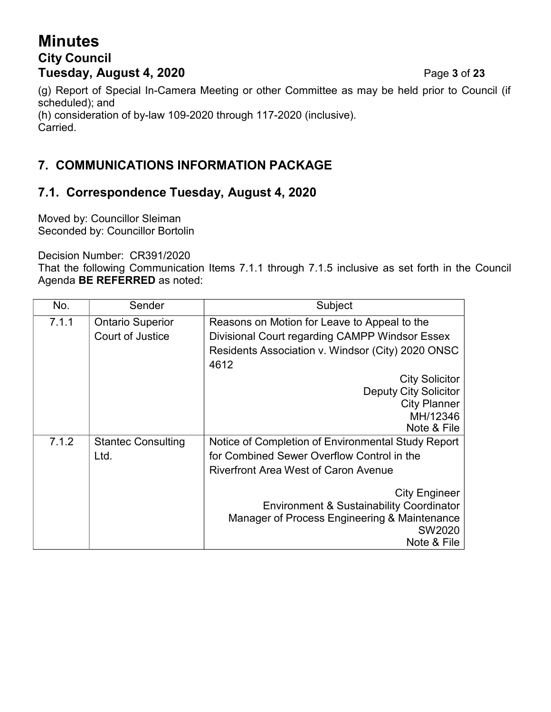# **Minutes City Council Tuesday, August 4, 2020** Page **3** of **23**

(g) Report of Special In-Camera Meeting or other Committee as may be held prior to Council (if scheduled); and (h) consideration of by-law 109-2020 through 117-2020 (inclusive). Carried.

# **7. COMMUNICATIONS INFORMATION PACKAGE**

# **7.1. Correspondence Tuesday, August 4, 2020**

Moved by: Councillor Sleiman Seconded by: Councillor Bortolin

Decision Number: CR391/2020

That the following Communication Items 7.1.1 through 7.1.5 inclusive as set forth in the Council Agenda **BE REFERRED** as noted:

| No.   | Sender                    | Subject                                                |  |
|-------|---------------------------|--------------------------------------------------------|--|
| 7.1.1 | <b>Ontario Superior</b>   | Reasons on Motion for Leave to Appeal to the           |  |
|       | Court of Justice          | Divisional Court regarding CAMPP Windsor Essex         |  |
|       |                           | Residents Association v. Windsor (City) 2020 ONSC      |  |
|       |                           | 4612                                                   |  |
|       |                           | <b>City Solicitor</b>                                  |  |
|       |                           | <b>Deputy City Solicitor</b>                           |  |
|       |                           | <b>City Planner</b>                                    |  |
|       |                           | MH/12346                                               |  |
|       |                           | Note & File                                            |  |
| 7.1.2 | <b>Stantec Consulting</b> | Notice of Completion of Environmental Study Report     |  |
|       | Ltd.                      | for Combined Sewer Overflow Control in the             |  |
|       |                           | <b>Riverfront Area West of Caron Avenue</b>            |  |
|       |                           | <b>City Engineer</b>                                   |  |
|       |                           | <b>Environment &amp; Sustainability Coordinator</b>    |  |
|       |                           | Manager of Process Engineering & Maintenance<br>SW2020 |  |
|       |                           | Note & File                                            |  |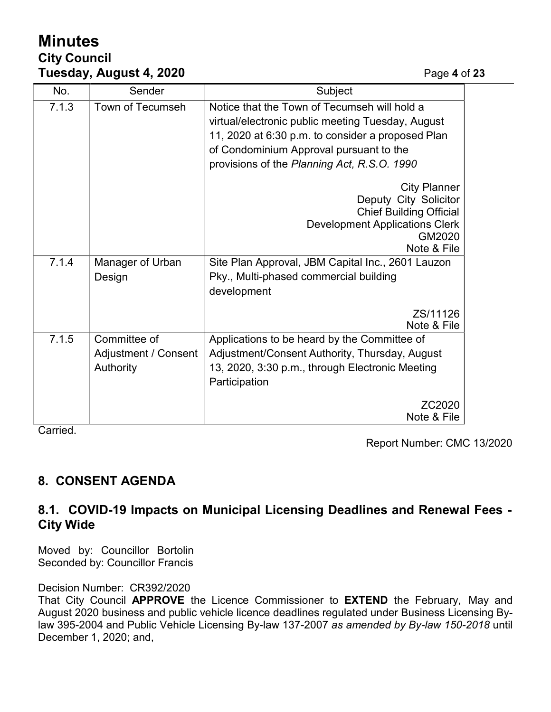# **Minutes City Council Tuesday, August 4, 2020** Page **4** of **23**

| No.   | Sender                                            | Subject                                                                                                                                                                                                                                          |  |
|-------|---------------------------------------------------|--------------------------------------------------------------------------------------------------------------------------------------------------------------------------------------------------------------------------------------------------|--|
| 7.1.3 | Town of Tecumseh                                  | Notice that the Town of Tecumseh will hold a<br>virtual/electronic public meeting Tuesday, August<br>11, 2020 at 6:30 p.m. to consider a proposed Plan<br>of Condominium Approval pursuant to the<br>provisions of the Planning Act, R.S.O. 1990 |  |
|       |                                                   | <b>City Planner</b><br>Deputy City Solicitor<br><b>Chief Building Official</b><br><b>Development Applications Clerk</b><br>GM2020<br>Note & File                                                                                                 |  |
| 7.1.4 | Manager of Urban                                  | Site Plan Approval, JBM Capital Inc., 2601 Lauzon                                                                                                                                                                                                |  |
|       | Design                                            | Pky., Multi-phased commercial building<br>development                                                                                                                                                                                            |  |
|       |                                                   | ZS/11126<br>Note & File                                                                                                                                                                                                                          |  |
| 7.1.5 | Committee of<br>Adjustment / Consent<br>Authority | Applications to be heard by the Committee of<br>Adjustment/Consent Authority, Thursday, August<br>13, 2020, 3:30 p.m., through Electronic Meeting<br>Participation                                                                               |  |
|       |                                                   | ZC2020<br>Note & File                                                                                                                                                                                                                            |  |

Carried.

Report Number: CMC 13/2020

# **8. CONSENT AGENDA**

## **8.1. COVID-19 Impacts on Municipal Licensing Deadlines and Renewal Fees - City Wide**

Moved by: Councillor Bortolin Seconded by: Councillor Francis

#### Decision Number: CR392/2020

That City Council **APPROVE** the Licence Commissioner to **EXTEND** the February, May and August 2020 business and public vehicle licence deadlines regulated under Business Licensing Bylaw 395-2004 and Public Vehicle Licensing By-law 137-2007 *as amended by By-law 150-2018* until December 1, 2020; and,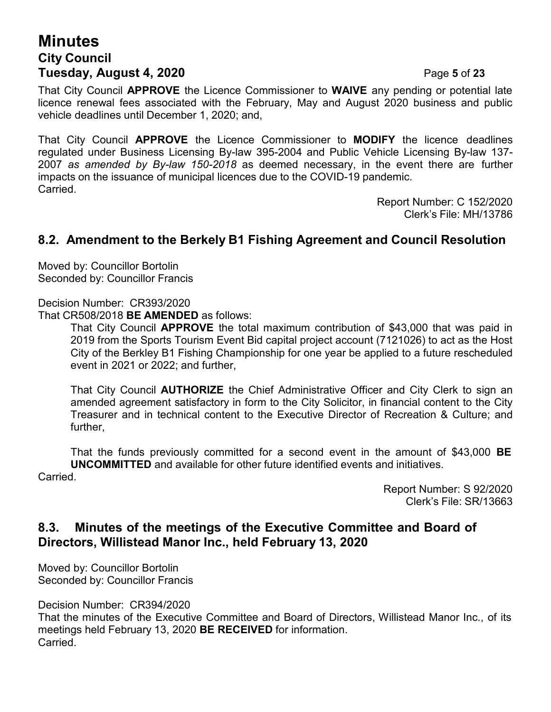# **Minutes City Council Tuesday, August 4, 2020** Page **5** of **23**

That City Council **APPROVE** the Licence Commissioner to **WAIVE** any pending or potential late licence renewal fees associated with the February, May and August 2020 business and public vehicle deadlines until December 1, 2020; and,

That City Council **APPROVE** the Licence Commissioner to **MODIFY** the licence deadlines regulated under Business Licensing By-law 395-2004 and Public Vehicle Licensing By-law 137- 2007 *as amended by By-law 150-2018* as deemed necessary, in the event there are further impacts on the issuance of municipal licences due to the COVID-19 pandemic. **Carried** 

> Report Number: C 152/2020 Clerk's File: MH/13786

## **8.2. Amendment to the Berkely B1 Fishing Agreement and Council Resolution**

Moved by: Councillor Bortolin Seconded by: Councillor Francis

Decision Number: CR393/2020

That CR508/2018 **BE AMENDED** as follows:

That City Council **APPROVE** the total maximum contribution of \$43,000 that was paid in 2019 from the Sports Tourism Event Bid capital project account (7121026) to act as the Host City of the Berkley B1 Fishing Championship for one year be applied to a future rescheduled event in 2021 or 2022; and further,

That City Council **AUTHORIZE** the Chief Administrative Officer and City Clerk to sign an amended agreement satisfactory in form to the City Solicitor, in financial content to the City Treasurer and in technical content to the Executive Director of Recreation & Culture; and further,

That the funds previously committed for a second event in the amount of \$43,000 **BE UNCOMMITTED** and available for other future identified events and initiatives.

Carried.

Report Number: S 92/2020 Clerk's File: SR/13663

#### **8.3. Minutes of the meetings of the Executive Committee and Board of Directors, Willistead Manor Inc., held February 13, 2020**

Moved by: Councillor Bortolin Seconded by: Councillor Francis

Decision Number: CR394/2020

That the minutes of the Executive Committee and Board of Directors, Willistead Manor Inc., of its meetings held February 13, 2020 **BE RECEIVED** for information. Carried.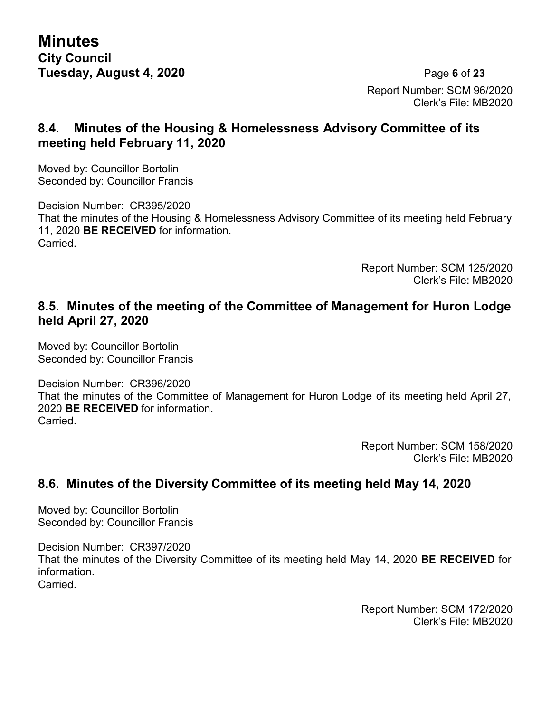**Minutes City Council Tuesday, August 4, 2020** Page **6** of **23**

Report Number: SCM 96/2020 Clerk's File: MB2020

## **8.4. Minutes of the Housing & Homelessness Advisory Committee of its meeting held February 11, 2020**

Moved by: Councillor Bortolin Seconded by: Councillor Francis

Decision Number: CR395/2020 That the minutes of the Housing & Homelessness Advisory Committee of its meeting held February 11, 2020 **BE RECEIVED** for information. Carried.

> Report Number: SCM 125/2020 Clerk's File: MB2020

#### **8.5. Minutes of the meeting of the Committee of Management for Huron Lodge held April 27, 2020**

Moved by: Councillor Bortolin Seconded by: Councillor Francis

Decision Number: CR396/2020

That the minutes of the Committee of Management for Huron Lodge of its meeting held April 27, 2020 **BE RECEIVED** for information. Carried.

> Report Number: SCM 158/2020 Clerk's File: MB2020

## **8.6. Minutes of the Diversity Committee of its meeting held May 14, 2020**

Moved by: Councillor Bortolin Seconded by: Councillor Francis

Decision Number: CR397/2020 That the minutes of the Diversity Committee of its meeting held May 14, 2020 **BE RECEIVED** for information. **Carried** 

> Report Number: SCM 172/2020 Clerk's File: MB2020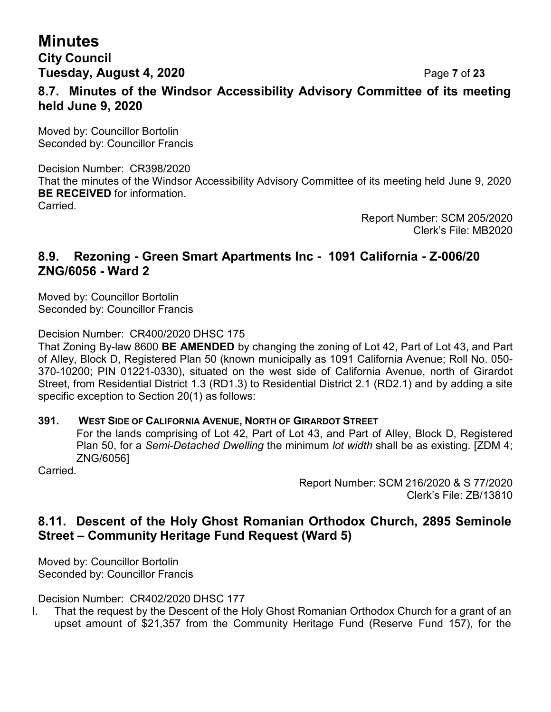# **Minutes**

**City Council Tuesday, August 4, 2020** Page **7** of **23**

## **8.7. Minutes of the Windsor Accessibility Advisory Committee of its meeting held June 9, 2020**

Moved by: Councillor Bortolin Seconded by: Councillor Francis

Decision Number: CR398/2020 That the minutes of the Windsor Accessibility Advisory Committee of its meeting held June 9, 2020 **BE RECEIVED** for information. Carried.

> Report Number: SCM 205/2020 Clerk's File: MB2020

## **8.9. Rezoning - Green Smart Apartments Inc - 1091 California - Z-006/20 ZNG/6056 - Ward 2**

Moved by: Councillor Bortolin Seconded by: Councillor Francis

Decision Number: CR400/2020 DHSC 175

That Zoning By-law 8600 **BE AMENDED** by changing the zoning of Lot 42, Part of Lot 43, and Part of Alley, Block D, Registered Plan 50 (known municipally as 1091 California Avenue; Roll No. 050- 370-10200; PIN 01221-0330), situated on the west side of California Avenue, north of Girardot Street, from Residential District 1.3 (RD1.3) to Residential District 2.1 (RD2.1) and by adding a site specific exception to Section 20(1) as follows:

#### **391. WEST SIDE OF CALIFORNIA AVENUE, NORTH OF GIRARDOT STREET**

For the lands comprising of Lot 42, Part of Lot 43, and Part of Alley, Block D, Registered Plan 50, for a *Semi-Detached Dwelling* the minimum *lot width* shall be as existing. [ZDM 4; ZNG/6056]

Carried.

Report Number: SCM 216/2020 & S 77/2020 Clerk's File: ZB/13810

## **8.11. Descent of the Holy Ghost Romanian Orthodox Church, 2895 Seminole Street – Community Heritage Fund Request (Ward 5)**

Moved by: Councillor Bortolin Seconded by: Councillor Francis

Decision Number: CR402/2020 DHSC 177

I. That the request by the Descent of the Holy Ghost Romanian Orthodox Church for a grant of an upset amount of \$21,357 from the Community Heritage Fund (Reserve Fund 157), for the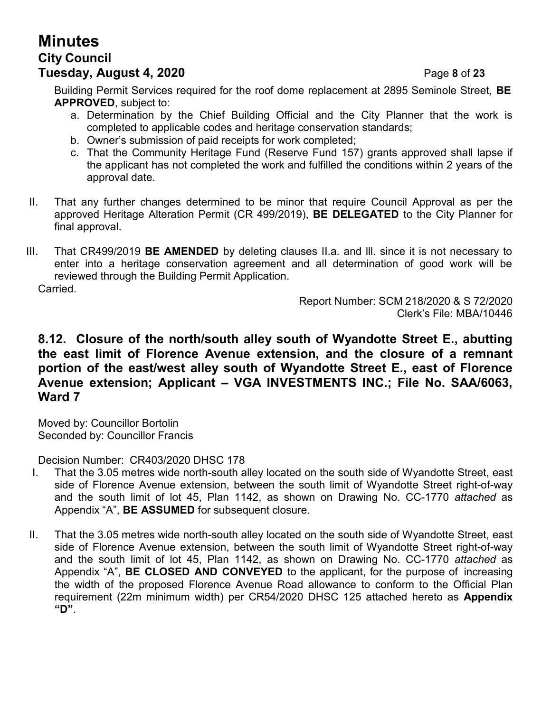# **Minutes City Council Tuesday, August 4, 2020** Page **8** of **23**

Building Permit Services required for the roof dome replacement at 2895 Seminole Street, **BE APPROVED**, subject to:

- a. Determination by the Chief Building Official and the City Planner that the work is completed to applicable codes and heritage conservation standards;
- b. Owner's submission of paid receipts for work completed;
- c. That the Community Heritage Fund (Reserve Fund 157) grants approved shall lapse if the applicant has not completed the work and fulfilled the conditions within 2 years of the approval date.
- II. That any further changes determined to be minor that require Council Approval as per the approved Heritage Alteration Permit (CR 499/2019), **BE DELEGATED** to the City Planner for final approval.
- III. That CR499/2019 **BE AMENDED** by deleting clauses II.a. and lll. since it is not necessary to enter into a heritage conservation agreement and all determination of good work will be reviewed through the Building Permit Application. Carried.

Report Number: SCM 218/2020 & S 72/2020 Clerk's File: MBA/10446

#### **8.12. Closure of the north/south alley south of Wyandotte Street E., abutting the east limit of Florence Avenue extension, and the closure of a remnant portion of the east/west alley south of Wyandotte Street E., east of Florence Avenue extension; Applicant – VGA INVESTMENTS INC.; File No. SAA/6063, Ward 7**

Moved by: Councillor Bortolin Seconded by: Councillor Francis

Decision Number: CR403/2020 DHSC 178

- I. That the 3.05 metres wide north-south alley located on the south side of Wyandotte Street, east side of Florence Avenue extension, between the south limit of Wyandotte Street right-of-way and the south limit of lot 45, Plan 1142, as shown on Drawing No. CC-1770 *attached* as Appendix "A", **BE ASSUMED** for subsequent closure.
- II. That the 3.05 metres wide north-south alley located on the south side of Wyandotte Street, east side of Florence Avenue extension, between the south limit of Wyandotte Street right-of-way and the south limit of lot 45, Plan 1142, as shown on Drawing No. CC-1770 *attached* as Appendix "A", **BE CLOSED AND CONVEYED** to the applicant, for the purpose of increasing the width of the proposed Florence Avenue Road allowance to conform to the Official Plan requirement (22m minimum width) per CR54/2020 DHSC 125 attached hereto as **Appendix "D"**.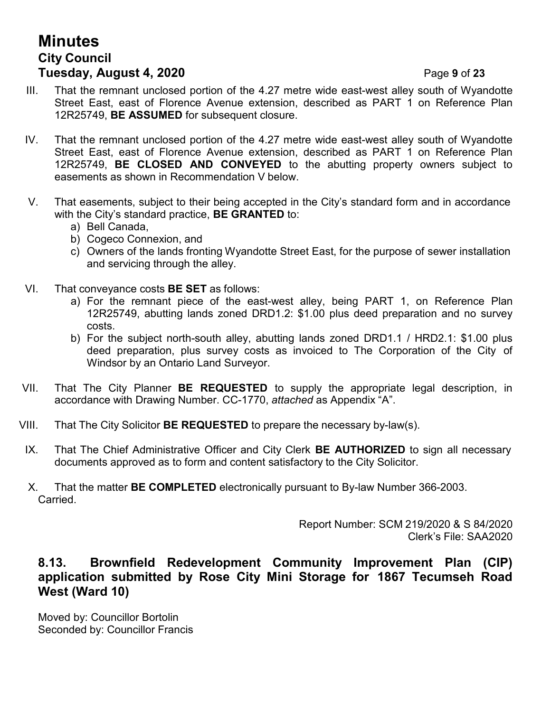# **Minutes City Council Tuesday, August 4, 2020** Page **9** of **23**

- III. That the remnant unclosed portion of the 4.27 metre wide east-west alley south of Wyandotte Street East, east of Florence Avenue extension, described as PART 1 on Reference Plan 12R25749, **BE ASSUMED** for subsequent closure.
- IV. That the remnant unclosed portion of the 4.27 metre wide east-west alley south of Wyandotte Street East, east of Florence Avenue extension, described as PART 1 on Reference Plan 12R25749, **BE CLOSED AND CONVEYED** to the abutting property owners subject to easements as shown in Recommendation V below.
- V. That easements, subject to their being accepted in the City's standard form and in accordance with the City's standard practice, **BE GRANTED** to:
	- a) Bell Canada,
	- b) Cogeco Connexion, and
	- c) Owners of the lands fronting Wyandotte Street East, for the purpose of sewer installation and servicing through the alley.
- VI. That conveyance costs **BE SET** as follows:
	- a) For the remnant piece of the east-west alley, being PART 1, on Reference Plan 12R25749, abutting lands zoned DRD1.2: \$1.00 plus deed preparation and no survey costs.
	- b) For the subject north-south alley, abutting lands zoned DRD1.1 / HRD2.1: \$1.00 plus deed preparation, plus survey costs as invoiced to The Corporation of the City of Windsor by an Ontario Land Surveyor.
- VII. That The City Planner **BE REQUESTED** to supply the appropriate legal description, in accordance with Drawing Number. CC-1770, *attached* as Appendix "A".
- VIII. That The City Solicitor **BE REQUESTED** to prepare the necessary by-law(s).
- IX. That The Chief Administrative Officer and City Clerk **BE AUTHORIZED** to sign all necessary documents approved as to form and content satisfactory to the City Solicitor.
- X. That the matter **BE COMPLETED** electronically pursuant to By-law Number 366-2003. Carried.

Report Number: SCM 219/2020 & S 84/2020 Clerk's File: SAA2020

## **8.13. Brownfield Redevelopment Community Improvement Plan (CIP) application submitted by Rose City Mini Storage for 1867 Tecumseh Road West (Ward 10)**

Moved by: Councillor Bortolin Seconded by: Councillor Francis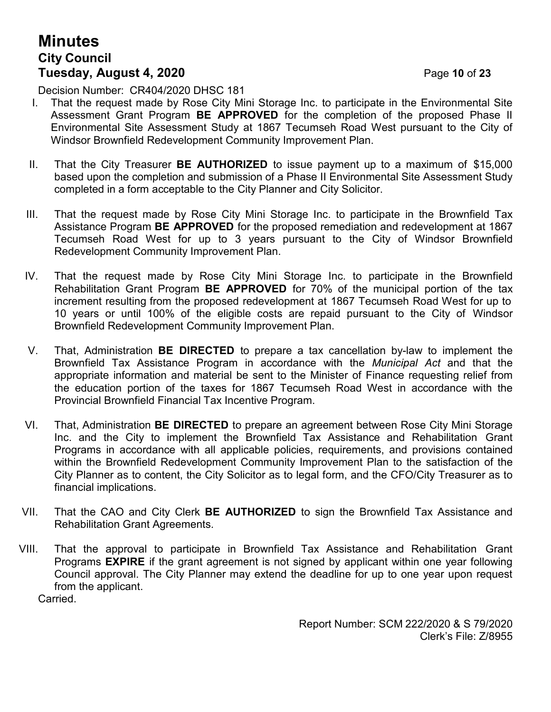# **Minutes City Council Tuesday, August 4, 2020** Page **10** of **23**

Decision Number: CR404/2020 DHSC 181

- I. That the request made by Rose City Mini Storage Inc. to participate in the Environmental Site Assessment Grant Program **BE APPROVED** for the completion of the proposed Phase II Environmental Site Assessment Study at 1867 Tecumseh Road West pursuant to the City of Windsor Brownfield Redevelopment Community Improvement Plan.
- II. That the City Treasurer **BE AUTHORIZED** to issue payment up to a maximum of \$15,000 based upon the completion and submission of a Phase II Environmental Site Assessment Study completed in a form acceptable to the City Planner and City Solicitor.
- III. That the request made by Rose City Mini Storage Inc. to participate in the Brownfield Tax Assistance Program **BE APPROVED** for the proposed remediation and redevelopment at 1867 Tecumseh Road West for up to 3 years pursuant to the City of Windsor Brownfield Redevelopment Community Improvement Plan.
- IV. That the request made by Rose City Mini Storage Inc. to participate in the Brownfield Rehabilitation Grant Program **BE APPROVED** for 70% of the municipal portion of the tax increment resulting from the proposed redevelopment at 1867 Tecumseh Road West for up to 10 years or until 100% of the eligible costs are repaid pursuant to the City of Windsor Brownfield Redevelopment Community Improvement Plan.
- V. That, Administration **BE DIRECTED** to prepare a tax cancellation by-law to implement the Brownfield Tax Assistance Program in accordance with the *Municipal Act* and that the appropriate information and material be sent to the Minister of Finance requesting relief from the education portion of the taxes for 1867 Tecumseh Road West in accordance with the Provincial Brownfield Financial Tax Incentive Program.
- VI. That, Administration **BE DIRECTED** to prepare an agreement between Rose City Mini Storage Inc. and the City to implement the Brownfield Tax Assistance and Rehabilitation Grant Programs in accordance with all applicable policies, requirements, and provisions contained within the Brownfield Redevelopment Community Improvement Plan to the satisfaction of the City Planner as to content, the City Solicitor as to legal form, and the CFO/City Treasurer as to financial implications.
- VII. That the CAO and City Clerk **BE AUTHORIZED** to sign the Brownfield Tax Assistance and Rehabilitation Grant Agreements.
- VIII. That the approval to participate in Brownfield Tax Assistance and Rehabilitation Grant Programs **EXPIRE** if the grant agreement is not signed by applicant within one year following Council approval. The City Planner may extend the deadline for up to one year upon request from the applicant.

Carried.

Report Number: SCM 222/2020 & S 79/2020 Clerk's File: Z/8955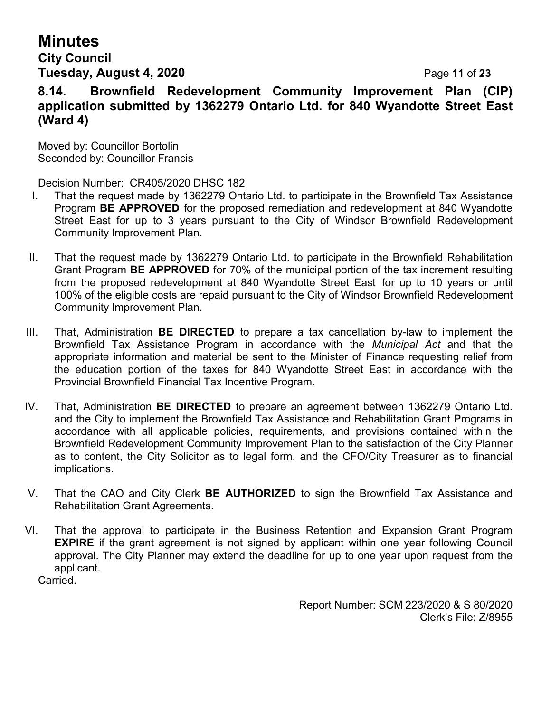# **Minutes City Council**

# **Tuesday, August 4, 2020** Page **11** of **23**

**8.14. Brownfield Redevelopment Community Improvement Plan (CIP) application submitted by 1362279 Ontario Ltd. for 840 Wyandotte Street East (Ward 4)**

Moved by: Councillor Bortolin Seconded by: Councillor Francis

Decision Number: CR405/2020 DHSC 182

- I. That the request made by 1362279 Ontario Ltd. to participate in the Brownfield Tax Assistance Program **BE APPROVED** for the proposed remediation and redevelopment at 840 Wyandotte Street East for up to 3 years pursuant to the City of Windsor Brownfield Redevelopment Community Improvement Plan.
- II. That the request made by 1362279 Ontario Ltd. to participate in the Brownfield Rehabilitation Grant Program **BE APPROVED** for 70% of the municipal portion of the tax increment resulting from the proposed redevelopment at 840 Wyandotte Street East for up to 10 years or until 100% of the eligible costs are repaid pursuant to the City of Windsor Brownfield Redevelopment Community Improvement Plan.
- III. That, Administration **BE DIRECTED** to prepare a tax cancellation by-law to implement the Brownfield Tax Assistance Program in accordance with the *Municipal Act* and that the appropriate information and material be sent to the Minister of Finance requesting relief from the education portion of the taxes for 840 Wyandotte Street East in accordance with the Provincial Brownfield Financial Tax Incentive Program.
- IV. That, Administration **BE DIRECTED** to prepare an agreement between 1362279 Ontario Ltd. and the City to implement the Brownfield Tax Assistance and Rehabilitation Grant Programs in accordance with all applicable policies, requirements, and provisions contained within the Brownfield Redevelopment Community Improvement Plan to the satisfaction of the City Planner as to content, the City Solicitor as to legal form, and the CFO/City Treasurer as to financial implications.
- V. That the CAO and City Clerk **BE AUTHORIZED** to sign the Brownfield Tax Assistance and Rehabilitation Grant Agreements.
- VI. That the approval to participate in the Business Retention and Expansion Grant Program **EXPIRE** if the grant agreement is not signed by applicant within one year following Council approval. The City Planner may extend the deadline for up to one year upon request from the applicant.

Carried.

Report Number: SCM 223/2020 & S 80/2020 Clerk's File: Z/8955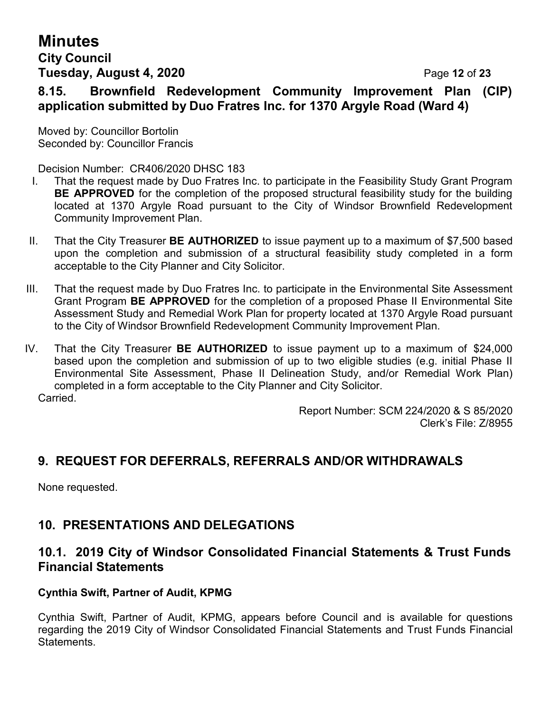# **Minutes City Council Tuesday, August 4, 2020** Page **12** of **23**

# **8.15. Brownfield Redevelopment Community Improvement Plan (CIP) application submitted by Duo Fratres Inc. for 1370 Argyle Road (Ward 4)**

Moved by: Councillor Bortolin Seconded by: Councillor Francis

Decision Number: CR406/2020 DHSC 183

- I. That the request made by Duo Fratres Inc. to participate in the Feasibility Study Grant Program **BE APPROVED** for the completion of the proposed structural feasibility study for the building located at 1370 Argyle Road pursuant to the City of Windsor Brownfield Redevelopment Community Improvement Plan.
- II. That the City Treasurer **BE AUTHORIZED** to issue payment up to a maximum of \$7,500 based upon the completion and submission of a structural feasibility study completed in a form acceptable to the City Planner and City Solicitor.
- III. That the request made by Duo Fratres Inc. to participate in the Environmental Site Assessment Grant Program **BE APPROVED** for the completion of a proposed Phase II Environmental Site Assessment Study and Remedial Work Plan for property located at 1370 Argyle Road pursuant to the City of Windsor Brownfield Redevelopment Community Improvement Plan.
- IV. That the City Treasurer **BE AUTHORIZED** to issue payment up to a maximum of \$24,000 based upon the completion and submission of up to two eligible studies (e.g. initial Phase II Environmental Site Assessment, Phase II Delineation Study, and/or Remedial Work Plan) completed in a form acceptable to the City Planner and City Solicitor. **Carried**

Report Number: SCM 224/2020 & S 85/2020 Clerk's File: Z/8955

# **9. REQUEST FOR DEFERRALS, REFERRALS AND/OR WITHDRAWALS**

None requested.

# **10. PRESENTATIONS AND DELEGATIONS**

## **10.1. 2019 City of Windsor Consolidated Financial Statements & Trust Funds Financial Statements**

#### **Cynthia Swift, Partner of Audit, KPMG**

Cynthia Swift, Partner of Audit, KPMG, appears before Council and is available for questions regarding the 2019 City of Windsor Consolidated Financial Statements and Trust Funds Financial Statements.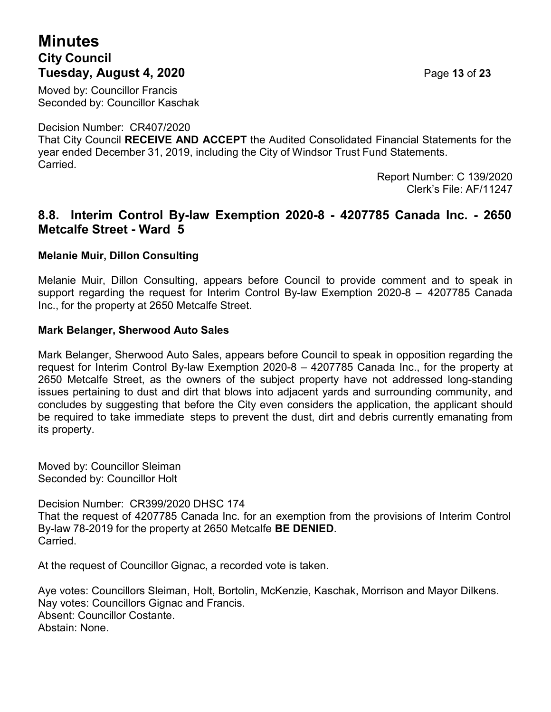# **Minutes City Council Tuesday, August 4, 2020** Page **13** of **23**

Moved by: Councillor Francis Seconded by: Councillor Kaschak

Decision Number: CR407/2020

That City Council **RECEIVE AND ACCEPT** the Audited Consolidated Financial Statements for the year ended December 31, 2019, including the City of Windsor Trust Fund Statements. Carried.

Report Number: C 139/2020 Clerk's File: AF/11247

### **8.8. Interim Control By-law Exemption 2020-8 - 4207785 Canada Inc. - 2650 Metcalfe Street - Ward 5**

#### **Melanie Muir, Dillon Consulting**

Melanie Muir, Dillon Consulting, appears before Council to provide comment and to speak in support regarding the request for Interim Control By-law Exemption 2020-8 – 4207785 Canada Inc., for the property at 2650 Metcalfe Street.

#### **Mark Belanger, Sherwood Auto Sales**

Mark Belanger, Sherwood Auto Sales, appears before Council to speak in opposition regarding the request for Interim Control By-law Exemption 2020-8 – 4207785 Canada Inc., for the property at 2650 Metcalfe Street, as the owners of the subject property have not addressed long-standing issues pertaining to dust and dirt that blows into adjacent yards and surrounding community, and concludes by suggesting that before the City even considers the application, the applicant should be required to take immediate steps to prevent the dust, dirt and debris currently emanating from its property.

Moved by: Councillor Sleiman Seconded by: Councillor Holt

Decision Number: CR399/2020 DHSC 174 That the request of 4207785 Canada Inc. for an exemption from the provisions of Interim Control By-law 78-2019 for the property at 2650 Metcalfe **BE DENIED**. Carried.

At the request of Councillor Gignac, a recorded vote is taken.

Aye votes: Councillors Sleiman, Holt, Bortolin, McKenzie, Kaschak, Morrison and Mayor Dilkens. Nay votes: Councillors Gignac and Francis. Absent: Councillor Costante. Abstain: None.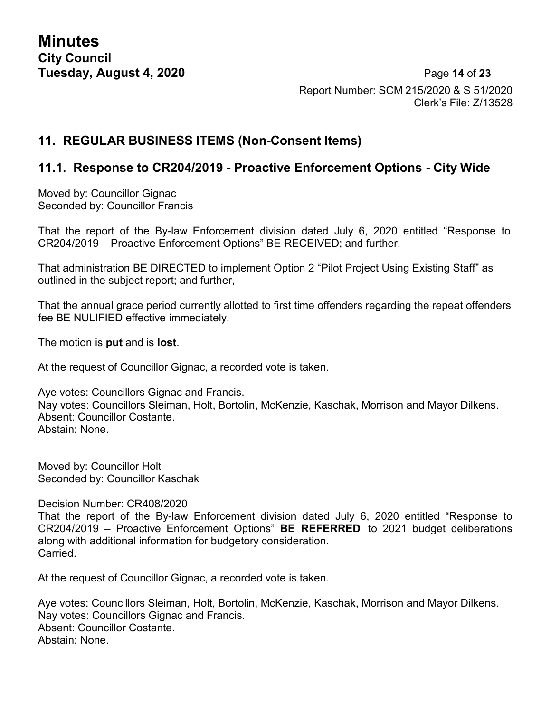**Minutes City Council**

**Tuesday, August 4, 2020** Page **14** of **23** Report Number: SCM 215/2020 & S 51/2020 Clerk's File: Z/13528

#### **11. REGULAR BUSINESS ITEMS (Non-Consent Items)**

#### **11.1. Response to CR204/2019 - Proactive Enforcement Options - City Wide**

Moved by: Councillor Gignac Seconded by: Councillor Francis

That the report of the By-law Enforcement division dated July 6, 2020 entitled "Response to CR204/2019 – Proactive Enforcement Options" BE RECEIVED; and further,

That administration BE DIRECTED to implement Option 2 "Pilot Project Using Existing Staff" as outlined in the subject report; and further,

That the annual grace period currently allotted to first time offenders regarding the repeat offenders fee BE NULIFIED effective immediately.

The motion is **put** and is **lost**.

At the request of Councillor Gignac, a recorded vote is taken.

Aye votes: Councillors Gignac and Francis. Nay votes: Councillors Sleiman, Holt, Bortolin, McKenzie, Kaschak, Morrison and Mayor Dilkens. Absent: Councillor Costante. Abstain: None.

Moved by: Councillor Holt Seconded by: Councillor Kaschak

Decision Number: CR408/2020

That the report of the By-law Enforcement division dated July 6, 2020 entitled "Response to CR204/2019 – Proactive Enforcement Options" **BE REFERRED** to 2021 budget deliberations along with additional information for budgetory consideration. Carried.

At the request of Councillor Gignac, a recorded vote is taken.

Aye votes: Councillors Sleiman, Holt, Bortolin, McKenzie, Kaschak, Morrison and Mayor Dilkens. Nay votes: Councillors Gignac and Francis. Absent: Councillor Costante. Abstain: None.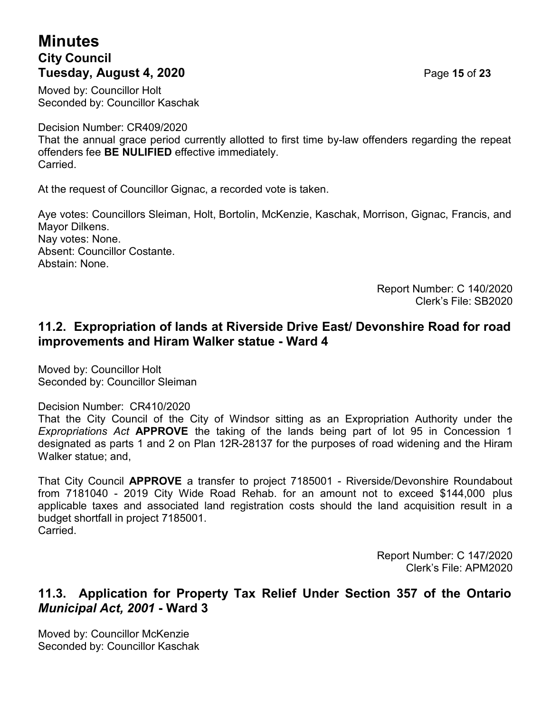# **Minutes City Council Tuesday, August 4, 2020** Page **15** of **23**

Moved by: Councillor Holt Seconded by: Councillor Kaschak

Decision Number: CR409/2020

That the annual grace period currently allotted to first time by-law offenders regarding the repeat offenders fee **BE NULIFIED** effective immediately. Carried.

At the request of Councillor Gignac, a recorded vote is taken.

Aye votes: Councillors Sleiman, Holt, Bortolin, McKenzie, Kaschak, Morrison, Gignac, Francis, and Mayor Dilkens. Nay votes: None. Absent: Councillor Costante. Abstain: None.

> Report Number: C 140/2020 Clerk's File: SB2020

## **11.2. Expropriation of lands at Riverside Drive East/ Devonshire Road for road improvements and Hiram Walker statue - Ward 4**

Moved by: Councillor Holt Seconded by: Councillor Sleiman

Decision Number: CR410/2020

That the City Council of the City of Windsor sitting as an Expropriation Authority under the *Expropriations Act* **APPROVE** the taking of the lands being part of lot 95 in Concession 1 designated as parts 1 and 2 on Plan 12R-28137 for the purposes of road widening and the Hiram Walker statue; and,

That City Council **APPROVE** a transfer to project 7185001 - Riverside/Devonshire Roundabout from 7181040 - 2019 City Wide Road Rehab. for an amount not to exceed \$144,000 plus applicable taxes and associated land registration costs should the land acquisition result in a budget shortfall in project 7185001. Carried.

> Report Number: C 147/2020 Clerk's File: APM2020

#### **11.3. Application for Property Tax Relief Under Section 357 of the Ontario** *Municipal Act, 2001* **- Ward 3**

Moved by: Councillor McKenzie Seconded by: Councillor Kaschak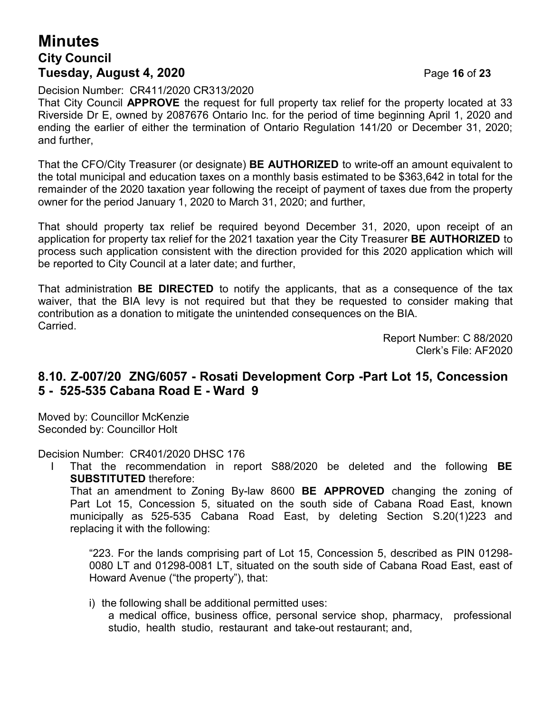# **Minutes City Council Tuesday, August 4, 2020** Page **16** of **23**

Decision Number: CR411/2020 CR313/2020

That City Council **APPROVE** the request for full property tax relief for the property located at 33 Riverside Dr E, owned by 2087676 Ontario Inc. for the period of time beginning April 1, 2020 and ending the earlier of either the termination of Ontario Regulation 141/20 or December 31, 2020; and further,

That the CFO/City Treasurer (or designate) **BE AUTHORIZED** to write-off an amount equivalent to the total municipal and education taxes on a monthly basis estimated to be \$363,642 in total for the remainder of the 2020 taxation year following the receipt of payment of taxes due from the property owner for the period January 1, 2020 to March 31, 2020; and further,

That should property tax relief be required beyond December 31, 2020, upon receipt of an application for property tax relief for the 2021 taxation year the City Treasurer **BE AUTHORIZED** to process such application consistent with the direction provided for this 2020 application which will be reported to City Council at a later date; and further,

That administration **BE DIRECTED** to notify the applicants, that as a consequence of the tax waiver, that the BIA levy is not required but that they be requested to consider making that contribution as a donation to mitigate the unintended consequences on the BIA. Carried.

> Report Number: C 88/2020 Clerk's File: AF2020

## **8.10. Z-007/20 ZNG/6057 - Rosati Development Corp -Part Lot 15, Concession 5 - 525-535 Cabana Road E - Ward 9**

Moved by: Councillor McKenzie Seconded by: Councillor Holt

Decision Number: CR401/2020 DHSC 176

I That the recommendation in report S88/2020 be deleted and the following **BE SUBSTITUTED** therefore:

That an amendment to Zoning By-law 8600 **BE APPROVED** changing the zoning of Part Lot 15, Concession 5, situated on the south side of Cabana Road East, known municipally as 525-535 Cabana Road East, by deleting Section S.20(1)223 and replacing it with the following:

"223. For the lands comprising part of Lot 15, Concession 5, described as PIN 01298- 0080 LT and 01298-0081 LT, situated on the south side of Cabana Road East, east of Howard Avenue ("the property"), that:

i) the following shall be additional permitted uses:

a medical office, business office, personal service shop, pharmacy, professional studio, health studio, restaurant and take-out restaurant; and,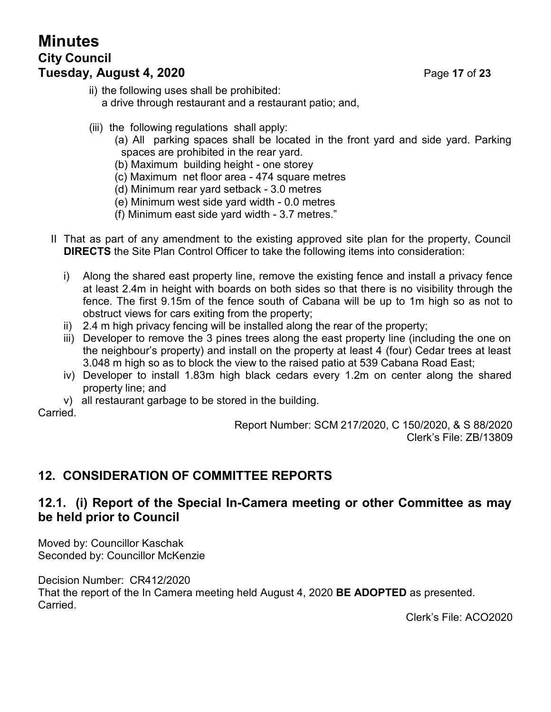# **Minutes City Council Tuesday, August 4, 2020** Page **17** of **23**

- ii) the following uses shall be prohibited: a drive through restaurant and a restaurant patio; and,
- (iii) the following regulations shall apply:
	- (a) All parking spaces shall be located in the front yard and side yard. Parking spaces are prohibited in the rear yard.
	- (b) Maximum building height one storey
	- (c) Maximum net floor area 474 square metres
	- (d) Minimum rear yard setback 3.0 metres
	- (e) Minimum west side yard width 0.0 metres
	- (f) Minimum east side yard width 3.7 metres."
- II That as part of any amendment to the existing approved site plan for the property, Council **DIRECTS** the Site Plan Control Officer to take the following items into consideration:
	- i) Along the shared east property line, remove the existing fence and install a privacy fence at least 2.4m in height with boards on both sides so that there is no visibility through the fence. The first 9.15m of the fence south of Cabana will be up to 1m high so as not to obstruct views for cars exiting from the property;
	- ii) 2.4 m high privacy fencing will be installed along the rear of the property;
	- iii) Developer to remove the 3 pines trees along the east property line (including the one on the neighbour's property) and install on the property at least 4 (four) Cedar trees at least 3.048 m high so as to block the view to the raised patio at 539 Cabana Road East;
	- iv) Developer to install 1.83m high black cedars every 1.2m on center along the shared property line; and
	- v) all restaurant garbage to be stored in the building.

Carried.

Report Number: SCM 217/2020, C 150/2020, & S 88/2020 Clerk's File: ZB/13809

# **12. CONSIDERATION OF COMMITTEE REPORTS**

#### **12.1. (i) Report of the Special In-Camera meeting or other Committee as may be held prior to Council**

Moved by: Councillor Kaschak Seconded by: Councillor McKenzie

Decision Number: CR412/2020 That the report of the In Camera meeting held August 4, 2020 **BE ADOPTED** as presented. Carried.

Clerk's File: ACO2020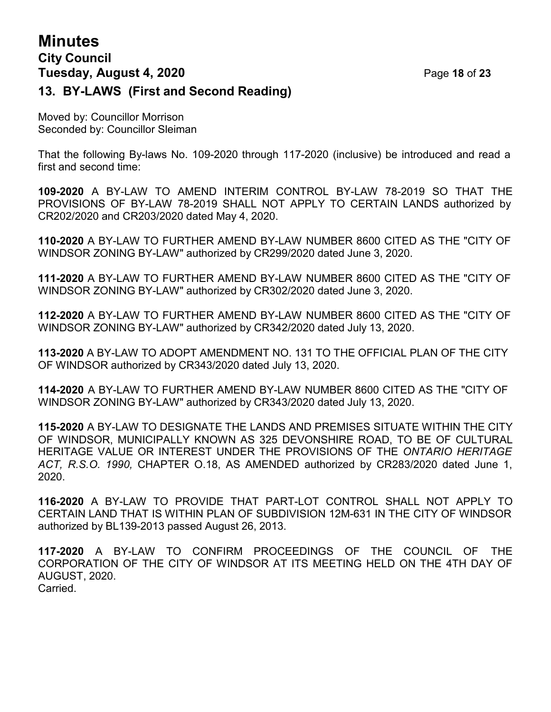# **Minutes City Council Tuesday, August 4, 2020** Page **18** of **23 13. BY-LAWS (First and Second Reading)**

Moved by: Councillor Morrison Seconded by: Councillor Sleiman

That the following By-laws No. 109-2020 through 117-2020 (inclusive) be introduced and read a first and second time:

**109-2020** A BY-LAW TO AMEND INTERIM CONTROL BY-LAW 78-2019 SO THAT THE PROVISIONS OF BY-LAW 78-2019 SHALL NOT APPLY TO CERTAIN LANDS authorized by CR202/2020 and CR203/2020 dated May 4, 2020.

**110-2020** A BY-LAW TO FURTHER AMEND BY-LAW NUMBER 8600 CITED AS THE "CITY OF WINDSOR ZONING BY-LAW" authorized by CR299/2020 dated June 3, 2020.

**111-2020** A BY-LAW TO FURTHER AMEND BY-LAW NUMBER 8600 CITED AS THE "CITY OF WINDSOR ZONING BY-LAW" authorized by CR302/2020 dated June 3, 2020.

**112-2020** A BY-LAW TO FURTHER AMEND BY-LAW NUMBER 8600 CITED AS THE "CITY OF WINDSOR ZONING BY-LAW" authorized by CR342/2020 dated July 13, 2020.

**113-2020** A BY-LAW TO ADOPT AMENDMENT NO. 131 TO THE OFFICIAL PLAN OF THE CITY OF WINDSOR authorized by CR343/2020 dated July 13, 2020.

**114-2020** A BY-LAW TO FURTHER AMEND BY-LAW NUMBER 8600 CITED AS THE "CITY OF WINDSOR ZONING BY-LAW" authorized by CR343/2020 dated July 13, 2020.

**115-2020** A BY-LAW TO DESIGNATE THE LANDS AND PREMISES SITUATE WITHIN THE CITY OF WINDSOR, MUNICIPALLY KNOWN AS 325 DEVONSHIRE ROAD, TO BE OF CULTURAL HERITAGE VALUE OR INTEREST UNDER THE PROVISIONS OF THE *ONTARIO HERITAGE ACT, R.S.O. 1990,* CHAPTER O.18, AS AMENDED authorized by CR283/2020 dated June 1, 2020.

**116-2020** A BY-LAW TO PROVIDE THAT PART-LOT CONTROL SHALL NOT APPLY TO CERTAIN LAND THAT IS WITHIN PLAN OF SUBDIVISION 12M-631 IN THE CITY OF WINDSOR authorized by BL139-2013 passed August 26, 2013.

**117-2020** A BY-LAW TO CONFIRM PROCEEDINGS OF THE COUNCIL OF THE CORPORATION OF THE CITY OF WINDSOR AT ITS MEETING HELD ON THE 4TH DAY OF AUGUST, 2020. Carried.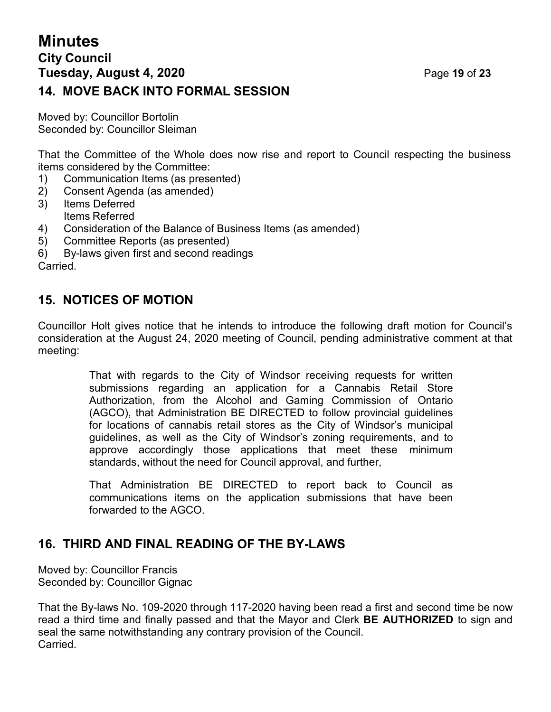# **Minutes City Council Tuesday, August 4, 2020** Page **19** of **23 14. MOVE BACK INTO FORMAL SESSION**

Moved by: Councillor Bortolin Seconded by: Councillor Sleiman

That the Committee of the Whole does now rise and report to Council respecting the business items considered by the Committee:

- 1) Communication Items (as presented)
- 2) Consent Agenda (as amended)
- 3) Items Deferred Items Referred
- 4) Consideration of the Balance of Business Items (as amended)
- 5) Committee Reports (as presented)
- 6) By-laws given first and second readings Carried.

## **15. NOTICES OF MOTION**

Councillor Holt gives notice that he intends to introduce the following draft motion for Council's consideration at the August 24, 2020 meeting of Council, pending administrative comment at that meeting:

> That with regards to the City of Windsor receiving requests for written submissions regarding an application for a Cannabis Retail Store Authorization, from the Alcohol and Gaming Commission of Ontario (AGCO), that Administration BE DIRECTED to follow provincial guidelines for locations of cannabis retail stores as the City of Windsor's municipal guidelines, as well as the City of Windsor's zoning requirements, and to approve accordingly those applications that meet these minimum standards, without the need for Council approval, and further,

> That Administration BE DIRECTED to report back to Council as communications items on the application submissions that have been forwarded to the AGCO.

## **16. THIRD AND FINAL READING OF THE BY-LAWS**

Moved by: Councillor Francis Seconded by: Councillor Gignac

That the By-laws No. 109-2020 through 117-2020 having been read a first and second time be now read a third time and finally passed and that the Mayor and Clerk **BE AUTHORIZED** to sign and seal the same notwithstanding any contrary provision of the Council. **Carried**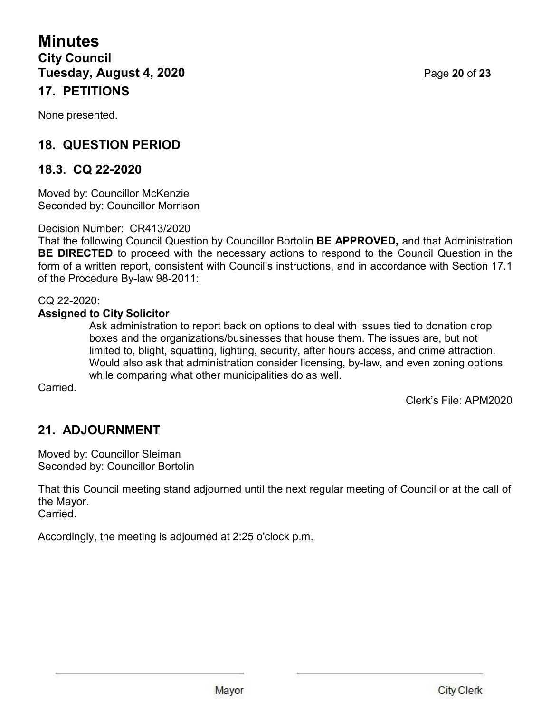**Minutes City Council Tuesday, August 4, 2020** Page **20** of **23 17. PETITIONS**

None presented.

# **18. QUESTION PERIOD**

## **18.3. CQ 22-2020**

Moved by: Councillor McKenzie Seconded by: Councillor Morrison

Decision Number: CR413/2020

That the following Council Question by Councillor Bortolin **BE APPROVED,** and that Administration **BE DIRECTED** to proceed with the necessary actions to respond to the Council Question in the form of a written report, consistent with Council's instructions, and in accordance with Section 17.1 of the Procedure By-law 98-2011:

CQ 22-2020:

#### **Assigned to City Solicitor**

Ask administration to report back on options to deal with issues tied to donation drop boxes and the organizations/businesses that house them. The issues are, but not limited to, blight, squatting, lighting, security, after hours access, and crime attraction. Would also ask that administration consider licensing, by-law, and even zoning options while comparing what other municipalities do as well.

Carried.

Clerk's File: APM2020

# **21. ADJOURNMENT**

Moved by: Councillor Sleiman Seconded by: Councillor Bortolin

That this Council meeting stand adjourned until the next regular meeting of Council or at the call of the Mayor. Carried.

Accordingly, the meeting is adjourned at 2:25 o'clock p.m.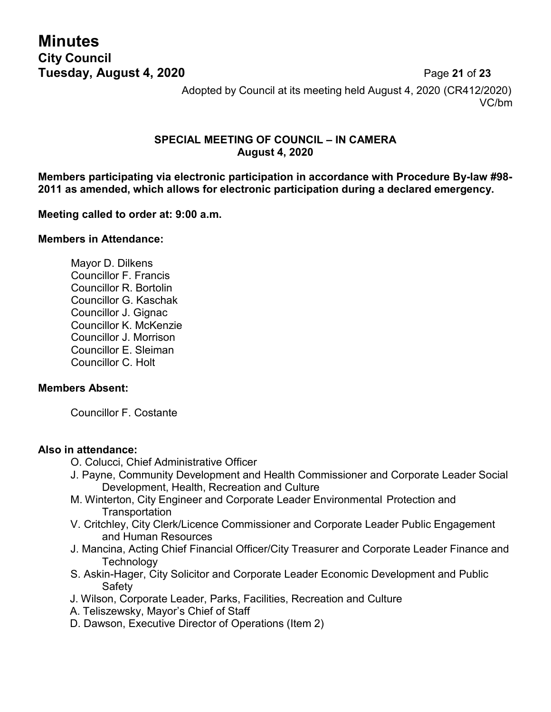**Minutes City Council**

**Tuesday, August 4, 2020** Page **21** of **23** Adopted by Council at its meeting held August 4, 2020 (CR412/2020) VC/bm

#### **SPECIAL MEETING OF COUNCIL – IN CAMERA August 4, 2020**

**Members participating via electronic participation in accordance with Procedure By-law #98- 2011 as amended, which allows for electronic participation during a declared emergency.**

#### **Meeting called to order at: 9:00 a.m.**

#### **Members in Attendance:**

Mayor D. Dilkens Councillor F. Francis Councillor R. Bortolin Councillor G. Kaschak Councillor J. Gignac Councillor K. McKenzie Councillor J. Morrison Councillor E. Sleiman Councillor C. Holt

#### **Members Absent:**

Councillor F. Costante

#### **Also in attendance:**

- O. Colucci, Chief Administrative Officer
- J. Payne, Community Development and Health Commissioner and Corporate Leader Social Development, Health, Recreation and Culture
- M. Winterton, City Engineer and Corporate Leader Environmental Protection and **Transportation**
- V. Critchley, City Clerk/Licence Commissioner and Corporate Leader Public Engagement and Human Resources
- J. Mancina, Acting Chief Financial Officer/City Treasurer and Corporate Leader Finance and **Technology**
- S. Askin-Hager, City Solicitor and Corporate Leader Economic Development and Public **Safety**
- J. Wilson, Corporate Leader, Parks, Facilities, Recreation and Culture
- A. Teliszewsky, Mayor's Chief of Staff
- D. Dawson, Executive Director of Operations (Item 2)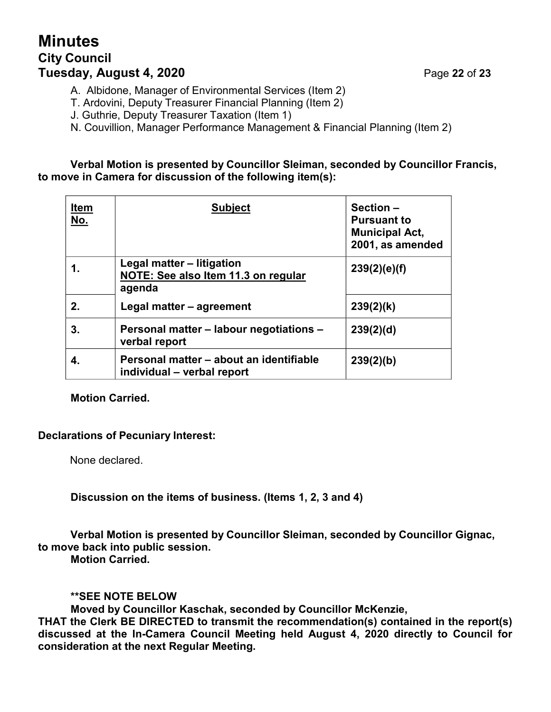# **Minutes City Council Tuesday, August 4, 2020** Page **22** of **23**

A. Albidone, Manager of Environmental Services (Item 2)

T. Ardovini, Deputy Treasurer Financial Planning (Item 2)

J. Guthrie, Deputy Treasurer Taxation (Item 1)

N. Couvillion, Manager Performance Management & Financial Planning (Item 2)

#### **Verbal Motion is presented by Councillor Sleiman, seconded by Councillor Francis, to move in Camera for discussion of the following item(s):**

| <b>Item</b><br>No. | <b>Subject</b>                                                             | Section-<br><b>Pursuant to</b><br><b>Municipal Act,</b><br>2001, as amended |
|--------------------|----------------------------------------------------------------------------|-----------------------------------------------------------------------------|
| 1.                 | Legal matter - litigation<br>NOTE: See also Item 11.3 on regular<br>agenda | 239(2)(e)(f)                                                                |
| 2.                 | Legal matter - agreement                                                   | 239(2)(k)                                                                   |
| 3.                 | Personal matter - labour negotiations -<br>verbal report                   | 239(2)(d)                                                                   |
|                    | Personal matter – about an identifiable<br>individual – verbal report      | 239(2)(b)                                                                   |

#### **Motion Carried.**

#### **Declarations of Pecuniary Interest:**

None declared.

**Discussion on the items of business. (Items 1, 2, 3 and 4)**

#### **Verbal Motion is presented by Councillor Sleiman, seconded by Councillor Gignac, to move back into public session. Motion Carried.**

#### **\*\*SEE NOTE BELOW**

**Moved by Councillor Kaschak, seconded by Councillor McKenzie,**

**THAT the Clerk BE DIRECTED to transmit the recommendation(s) contained in the report(s) discussed at the In-Camera Council Meeting held August 4, 2020 directly to Council for consideration at the next Regular Meeting.**